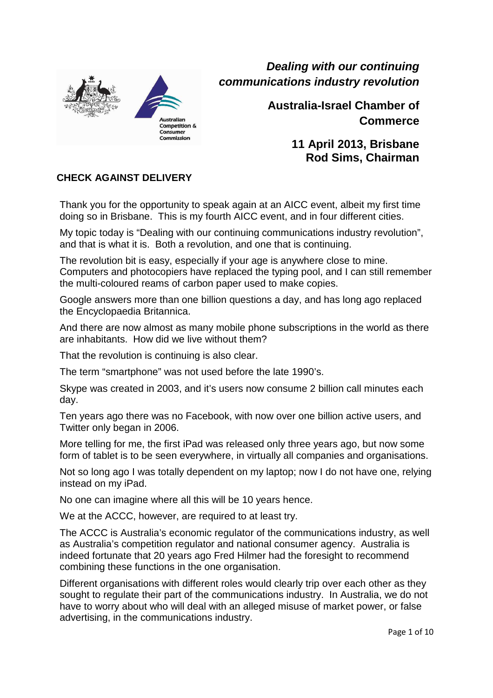

Commission

**Dealing with our continuing communications industry revolution** 

> **Australia-Israel Chamber of Commerce**

> > **11 April 2013, Brisbane Rod Sims, Chairman**

### **CHECK AGAINST DELIVERY**

Thank you for the opportunity to speak again at an AICC event, albeit my first time doing so in Brisbane. This is my fourth AICC event, and in four different cities.

My topic today is "Dealing with our continuing communications industry revolution", and that is what it is. Both a revolution, and one that is continuing.

The revolution bit is easy, especially if your age is anywhere close to mine. Computers and photocopiers have replaced the typing pool, and I can still remember the multi-coloured reams of carbon paper used to make copies.

Google answers more than one billion questions a day, and has long ago replaced the Encyclopaedia Britannica.

And there are now almost as many mobile phone subscriptions in the world as there are inhabitants. How did we live without them?

That the revolution is continuing is also clear.

The term "smartphone" was not used before the late 1990's.

Skype was created in 2003, and it's users now consume 2 billion call minutes each day.

Ten years ago there was no Facebook, with now over one billion active users, and Twitter only began in 2006.

More telling for me, the first iPad was released only three years ago, but now some form of tablet is to be seen everywhere, in virtually all companies and organisations.

Not so long ago I was totally dependent on my laptop; now I do not have one, relying instead on my iPad.

No one can imagine where all this will be 10 years hence.

We at the ACCC, however, are required to at least try.

The ACCC is Australia's economic regulator of the communications industry, as well as Australia's competition regulator and national consumer agency. Australia is indeed fortunate that 20 years ago Fred Hilmer had the foresight to recommend combining these functions in the one organisation.

Different organisations with different roles would clearly trip over each other as they sought to regulate their part of the communications industry. In Australia, we do not have to worry about who will deal with an alleged misuse of market power, or false advertising, in the communications industry.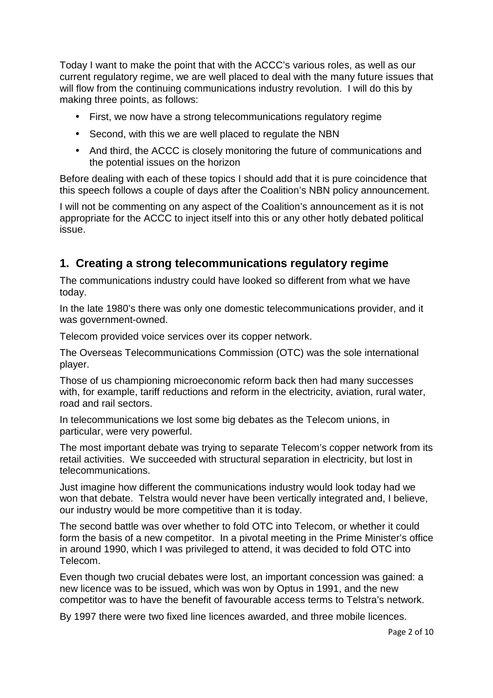Today I want to make the point that with the ACCC's various roles, as well as our current regulatory regime, we are well placed to deal with the many future issues that will flow from the continuing communications industry revolution. I will do this by making three points, as follows:

- First, we now have a strong telecommunications regulatory regime
- Second, with this we are well placed to regulate the NBN
- And third, the ACCC is closely monitoring the future of communications and the potential issues on the horizon

Before dealing with each of these topics I should add that it is pure coincidence that this speech follows a couple of days after the Coalition's NBN policy announcement.

I will not be commenting on any aspect of the Coalition's announcement as it is not appropriate for the ACCC to inject itself into this or any other hotly debated political issue.

# **1. Creating a strong telecommunications regulatory regime**

The communications industry could have looked so different from what we have today.

In the late 1980's there was only one domestic telecommunications provider, and it was government-owned.

Telecom provided voice services over its copper network.

The Overseas Telecommunications Commission (OTC) was the sole international player.

Those of us championing microeconomic reform back then had many successes with, for example, tariff reductions and reform in the electricity, aviation, rural water, road and rail sectors.

In telecommunications we lost some big debates as the Telecom unions, in particular, were very powerful.

The most important debate was trying to separate Telecom's copper network from its retail activities. We succeeded with structural separation in electricity, but lost in telecommunications.

Just imagine how different the communications industry would look today had we won that debate. Telstra would never have been vertically integrated and, I believe, our industry would be more competitive than it is today.

The second battle was over whether to fold OTC into Telecom, or whether it could form the basis of a new competitor. In a pivotal meeting in the Prime Minister's office in around 1990, which I was privileged to attend, it was decided to fold OTC into Telecom.

Even though two crucial debates were lost, an important concession was gained: a new licence was to be issued, which was won by Optus in 1991, and the new competitor was to have the benefit of favourable access terms to Telstra's network.

By 1997 there were two fixed line licences awarded, and three mobile licences.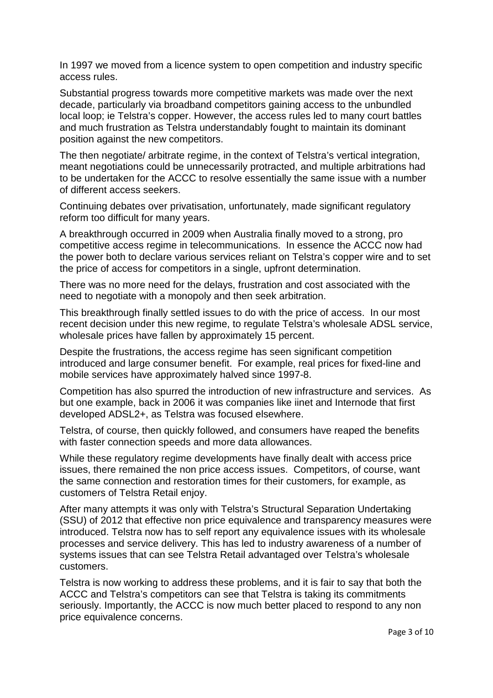In 1997 we moved from a licence system to open competition and industry specific access rules.

Substantial progress towards more competitive markets was made over the next decade, particularly via broadband competitors gaining access to the unbundled local loop; ie Telstra's copper. However, the access rules led to many court battles and much frustration as Telstra understandably fought to maintain its dominant position against the new competitors.

The then negotiate/ arbitrate regime, in the context of Telstra's vertical integration, meant negotiations could be unnecessarily protracted, and multiple arbitrations had to be undertaken for the ACCC to resolve essentially the same issue with a number of different access seekers.

Continuing debates over privatisation, unfortunately, made significant regulatory reform too difficult for many years.

A breakthrough occurred in 2009 when Australia finally moved to a strong, pro competitive access regime in telecommunications. In essence the ACCC now had the power both to declare various services reliant on Telstra's copper wire and to set the price of access for competitors in a single, upfront determination.

There was no more need for the delays, frustration and cost associated with the need to negotiate with a monopoly and then seek arbitration.

This breakthrough finally settled issues to do with the price of access. In our most recent decision under this new regime, to regulate Telstra's wholesale ADSL service, wholesale prices have fallen by approximately 15 percent.

Despite the frustrations, the access regime has seen significant competition introduced and large consumer benefit. For example, real prices for fixed-line and mobile services have approximately halved since 1997-8.

Competition has also spurred the introduction of new infrastructure and services. As but one example, back in 2006 it was companies like iinet and Internode that first developed ADSL2+, as Telstra was focused elsewhere.

Telstra, of course, then quickly followed, and consumers have reaped the benefits with faster connection speeds and more data allowances.

While these regulatory regime developments have finally dealt with access price issues, there remained the non price access issues. Competitors, of course, want the same connection and restoration times for their customers, for example, as customers of Telstra Retail enjoy.

After many attempts it was only with Telstra's Structural Separation Undertaking (SSU) of 2012 that effective non price equivalence and transparency measures were introduced. Telstra now has to self report any equivalence issues with its wholesale processes and service delivery. This has led to industry awareness of a number of systems issues that can see Telstra Retail advantaged over Telstra's wholesale customers.

Telstra is now working to address these problems, and it is fair to say that both the ACCC and Telstra's competitors can see that Telstra is taking its commitments seriously. Importantly, the ACCC is now much better placed to respond to any non price equivalence concerns.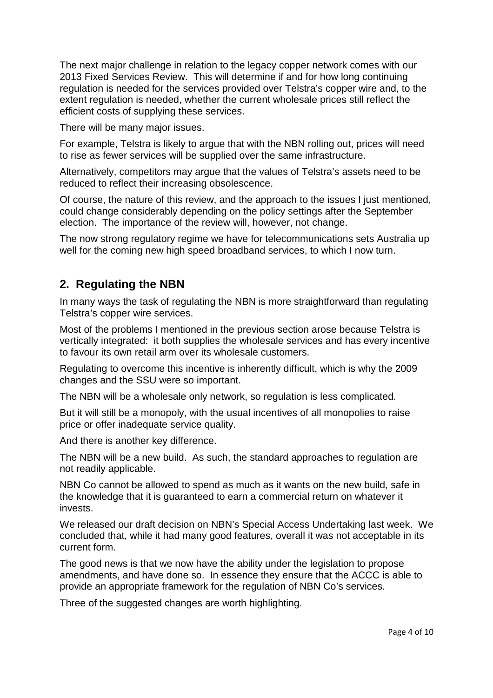The next major challenge in relation to the legacy copper network comes with our 2013 Fixed Services Review. This will determine if and for how long continuing regulation is needed for the services provided over Telstra's copper wire and, to the extent regulation is needed, whether the current wholesale prices still reflect the efficient costs of supplying these services.

There will be many major issues.

For example, Telstra is likely to argue that with the NBN rolling out, prices will need to rise as fewer services will be supplied over the same infrastructure.

Alternatively, competitors may argue that the values of Telstra's assets need to be reduced to reflect their increasing obsolescence.

Of course, the nature of this review, and the approach to the issues I just mentioned, could change considerably depending on the policy settings after the September election. The importance of the review will, however, not change.

The now strong regulatory regime we have for telecommunications sets Australia up well for the coming new high speed broadband services, to which I now turn.

### **2. Regulating the NBN**

In many ways the task of regulating the NBN is more straightforward than regulating Telstra's copper wire services.

Most of the problems I mentioned in the previous section arose because Telstra is vertically integrated: it both supplies the wholesale services and has every incentive to favour its own retail arm over its wholesale customers.

Regulating to overcome this incentive is inherently difficult, which is why the 2009 changes and the SSU were so important.

The NBN will be a wholesale only network, so regulation is less complicated.

But it will still be a monopoly, with the usual incentives of all monopolies to raise price or offer inadequate service quality.

And there is another key difference.

The NBN will be a new build. As such, the standard approaches to regulation are not readily applicable.

NBN Co cannot be allowed to spend as much as it wants on the new build, safe in the knowledge that it is guaranteed to earn a commercial return on whatever it invests.

We released our draft decision on NBN's Special Access Undertaking last week. We concluded that, while it had many good features, overall it was not acceptable in its current form.

The good news is that we now have the ability under the legislation to propose amendments, and have done so. In essence they ensure that the ACCC is able to provide an appropriate framework for the regulation of NBN Co's services.

Three of the suggested changes are worth highlighting.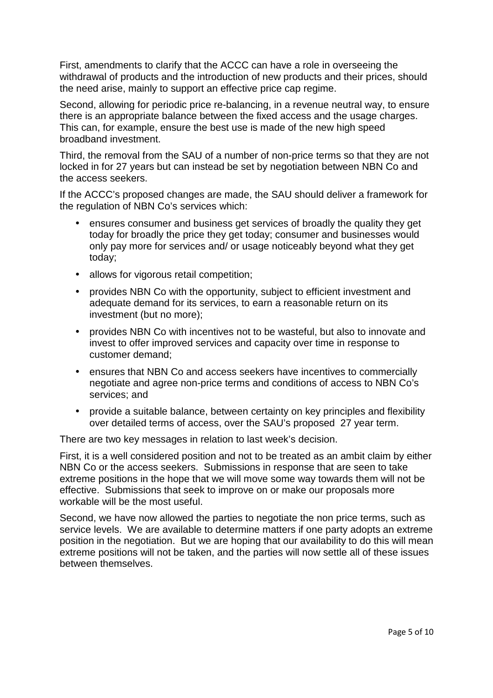First, amendments to clarify that the ACCC can have a role in overseeing the withdrawal of products and the introduction of new products and their prices, should the need arise, mainly to support an effective price cap regime.

Second, allowing for periodic price re-balancing, in a revenue neutral way, to ensure there is an appropriate balance between the fixed access and the usage charges. This can, for example, ensure the best use is made of the new high speed broadband investment.

Third, the removal from the SAU of a number of non-price terms so that they are not locked in for 27 years but can instead be set by negotiation between NBN Co and the access seekers.

If the ACCC's proposed changes are made, the SAU should deliver a framework for the regulation of NBN Co's services which:

- ensures consumer and business get services of broadly the quality they get today for broadly the price they get today; consumer and businesses would only pay more for services and/ or usage noticeably beyond what they get today;
- allows for vigorous retail competition;
- provides NBN Co with the opportunity, subject to efficient investment and adequate demand for its services, to earn a reasonable return on its investment (but no more);
- provides NBN Co with incentives not to be wasteful, but also to innovate and invest to offer improved services and capacity over time in response to customer demand;
- ensures that NBN Co and access seekers have incentives to commercially negotiate and agree non-price terms and conditions of access to NBN Co's services; and
- provide a suitable balance, between certainty on key principles and flexibility over detailed terms of access, over the SAU's proposed 27 year term.

There are two key messages in relation to last week's decision.

First, it is a well considered position and not to be treated as an ambit claim by either NBN Co or the access seekers. Submissions in response that are seen to take extreme positions in the hope that we will move some way towards them will not be effective. Submissions that seek to improve on or make our proposals more workable will be the most useful.

Second, we have now allowed the parties to negotiate the non price terms, such as service levels. We are available to determine matters if one party adopts an extreme position in the negotiation. But we are hoping that our availability to do this will mean extreme positions will not be taken, and the parties will now settle all of these issues between themselves.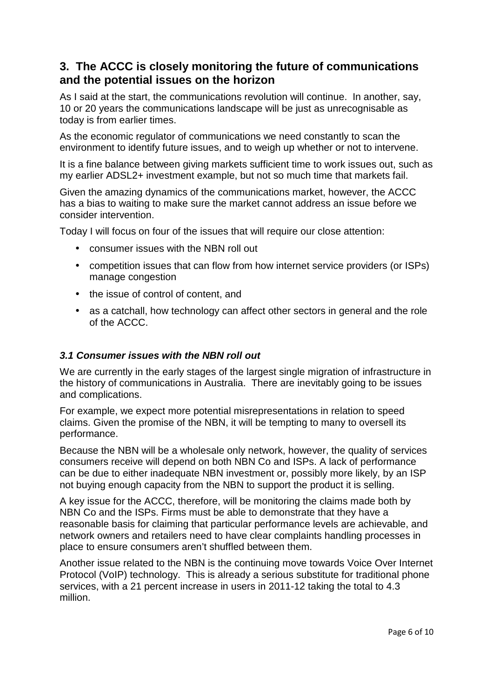# **3. The ACCC is closely monitoring the future of communications and the potential issues on the horizon**

As I said at the start, the communications revolution will continue. In another, say, 10 or 20 years the communications landscape will be just as unrecognisable as today is from earlier times.

As the economic regulator of communications we need constantly to scan the environment to identify future issues, and to weigh up whether or not to intervene.

It is a fine balance between giving markets sufficient time to work issues out, such as my earlier ADSL2+ investment example, but not so much time that markets fail.

Given the amazing dynamics of the communications market, however, the ACCC has a bias to waiting to make sure the market cannot address an issue before we consider intervention.

Today I will focus on four of the issues that will require our close attention:

- consumer issues with the NBN roll out
- competition issues that can flow from how internet service providers (or ISPs) manage congestion
- the issue of control of content, and
- as a catchall, how technology can affect other sectors in general and the role of the ACCC.

### **3.1 Consumer issues with the NBN roll out**

We are currently in the early stages of the largest single migration of infrastructure in the history of communications in Australia. There are inevitably going to be issues and complications.

For example, we expect more potential misrepresentations in relation to speed claims. Given the promise of the NBN, it will be tempting to many to oversell its performance.

Because the NBN will be a wholesale only network, however, the quality of services consumers receive will depend on both NBN Co and ISPs. A lack of performance can be due to either inadequate NBN investment or, possibly more likely, by an ISP not buying enough capacity from the NBN to support the product it is selling.

A key issue for the ACCC, therefore, will be monitoring the claims made both by NBN Co and the ISPs. Firms must be able to demonstrate that they have a reasonable basis for claiming that particular performance levels are achievable, and network owners and retailers need to have clear complaints handling processes in place to ensure consumers aren't shuffled between them.

Another issue related to the NBN is the continuing move towards Voice Over Internet Protocol (VoIP) technology. This is already a serious substitute for traditional phone services, with a 21 percent increase in users in 2011-12 taking the total to 4.3 million.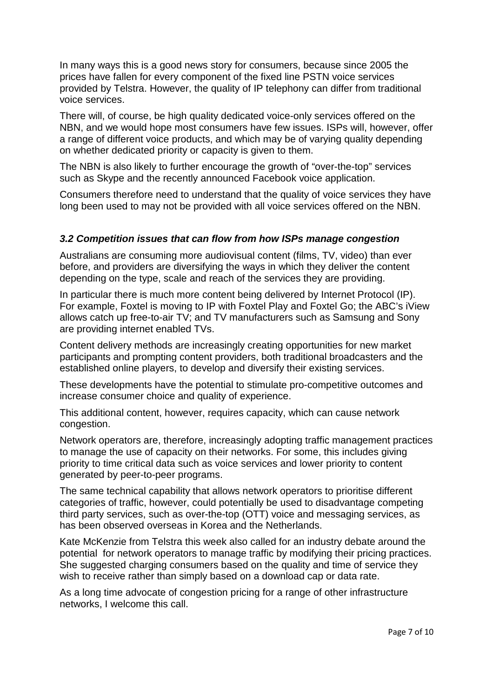In many ways this is a good news story for consumers, because since 2005 the prices have fallen for every component of the fixed line PSTN voice services provided by Telstra. However, the quality of IP telephony can differ from traditional voice services.

There will, of course, be high quality dedicated voice-only services offered on the NBN, and we would hope most consumers have few issues. ISPs will, however, offer a range of different voice products, and which may be of varying quality depending on whether dedicated priority or capacity is given to them.

The NBN is also likely to further encourage the growth of "over-the-top" services such as Skype and the recently announced Facebook voice application.

Consumers therefore need to understand that the quality of voice services they have long been used to may not be provided with all voice services offered on the NBN.

#### **3.2 Competition issues that can flow from how ISPs manage congestion**

Australians are consuming more audiovisual content (films, TV, video) than ever before, and providers are diversifying the ways in which they deliver the content depending on the type, scale and reach of the services they are providing.

In particular there is much more content being delivered by Internet Protocol (IP). For example, Foxtel is moving to IP with Foxtel Play and Foxtel Go; the ABC's iView allows catch up free-to-air TV; and TV manufacturers such as Samsung and Sony are providing internet enabled TVs.

Content delivery methods are increasingly creating opportunities for new market participants and prompting content providers, both traditional broadcasters and the established online players, to develop and diversify their existing services.

These developments have the potential to stimulate pro-competitive outcomes and increase consumer choice and quality of experience.

This additional content, however, requires capacity, which can cause network congestion.

Network operators are, therefore, increasingly adopting traffic management practices to manage the use of capacity on their networks. For some, this includes giving priority to time critical data such as voice services and lower priority to content generated by peer-to-peer programs.

The same technical capability that allows network operators to prioritise different categories of traffic, however, could potentially be used to disadvantage competing third party services, such as over-the-top (OTT) voice and messaging services, as has been observed overseas in Korea and the Netherlands.

Kate McKenzie from Telstra this week also called for an industry debate around the potential for network operators to manage traffic by modifying their pricing practices. She suggested charging consumers based on the quality and time of service they wish to receive rather than simply based on a download cap or data rate.

As a long time advocate of congestion pricing for a range of other infrastructure networks, I welcome this call.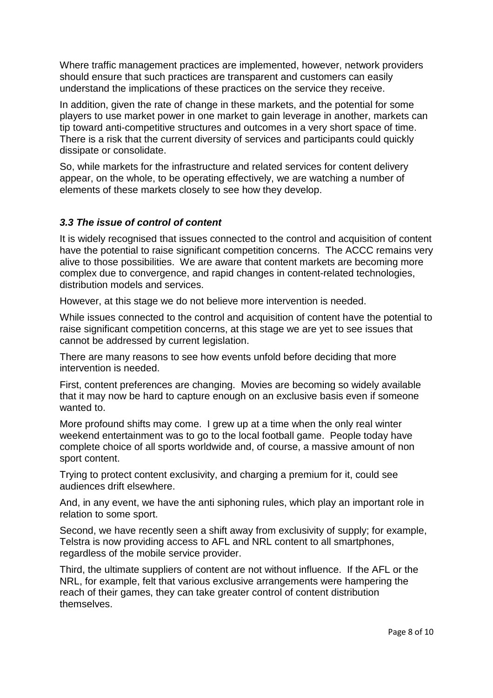Where traffic management practices are implemented, however, network providers should ensure that such practices are transparent and customers can easily understand the implications of these practices on the service they receive.

In addition, given the rate of change in these markets, and the potential for some players to use market power in one market to gain leverage in another, markets can tip toward anti-competitive structures and outcomes in a very short space of time. There is a risk that the current diversity of services and participants could quickly dissipate or consolidate.

So, while markets for the infrastructure and related services for content delivery appear, on the whole, to be operating effectively, we are watching a number of elements of these markets closely to see how they develop.

### **3.3 The issue of control of content**

It is widely recognised that issues connected to the control and acquisition of content have the potential to raise significant competition concerns. The ACCC remains very alive to those possibilities. We are aware that content markets are becoming more complex due to convergence, and rapid changes in content-related technologies, distribution models and services.

However, at this stage we do not believe more intervention is needed.

While issues connected to the control and acquisition of content have the potential to raise significant competition concerns, at this stage we are yet to see issues that cannot be addressed by current legislation.

There are many reasons to see how events unfold before deciding that more intervention is needed.

First, content preferences are changing. Movies are becoming so widely available that it may now be hard to capture enough on an exclusive basis even if someone wanted to

More profound shifts may come. I grew up at a time when the only real winter weekend entertainment was to go to the local football game. People today have complete choice of all sports worldwide and, of course, a massive amount of non sport content.

Trying to protect content exclusivity, and charging a premium for it, could see audiences drift elsewhere.

And, in any event, we have the anti siphoning rules, which play an important role in relation to some sport.

Second, we have recently seen a shift away from exclusivity of supply; for example, Telstra is now providing access to AFL and NRL content to all smartphones, regardless of the mobile service provider.

Third, the ultimate suppliers of content are not without influence. If the AFL or the NRL, for example, felt that various exclusive arrangements were hampering the reach of their games, they can take greater control of content distribution themselves.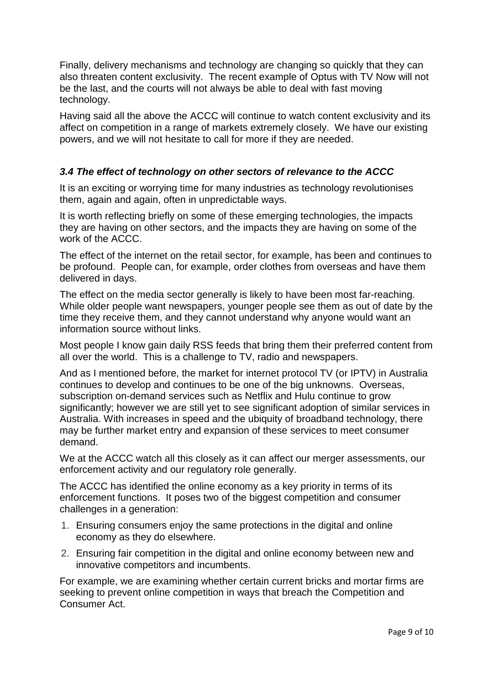Finally, delivery mechanisms and technology are changing so quickly that they can also threaten content exclusivity. The recent example of Optus with TV Now will not be the last, and the courts will not always be able to deal with fast moving technology.

Having said all the above the ACCC will continue to watch content exclusivity and its affect on competition in a range of markets extremely closely. We have our existing powers, and we will not hesitate to call for more if they are needed.

### **3.4 The effect of technology on other sectors of relevance to the ACCC**

It is an exciting or worrying time for many industries as technology revolutionises them, again and again, often in unpredictable ways.

It is worth reflecting briefly on some of these emerging technologies, the impacts they are having on other sectors, and the impacts they are having on some of the work of the ACCC.

The effect of the internet on the retail sector, for example, has been and continues to be profound. People can, for example, order clothes from overseas and have them delivered in days.

The effect on the media sector generally is likely to have been most far-reaching. While older people want newspapers, younger people see them as out of date by the time they receive them, and they cannot understand why anyone would want an information source without links.

Most people I know gain daily RSS feeds that bring them their preferred content from all over the world. This is a challenge to TV, radio and newspapers.

And as I mentioned before, the market for internet protocol TV (or IPTV) in Australia continues to develop and continues to be one of the big unknowns. Overseas, subscription on-demand services such as Netflix and Hulu continue to grow significantly; however we are still yet to see significant adoption of similar services in Australia. With increases in speed and the ubiquity of broadband technology, there may be further market entry and expansion of these services to meet consumer demand.

We at the ACCC watch all this closely as it can affect our merger assessments, our enforcement activity and our regulatory role generally.

The ACCC has identified the online economy as a key priority in terms of its enforcement functions. It poses two of the biggest competition and consumer challenges in a generation:

- 1. Ensuring consumers enjoy the same protections in the digital and online economy as they do elsewhere.
- 2. Ensuring fair competition in the digital and online economy between new and innovative competitors and incumbents.

For example, we are examining whether certain current bricks and mortar firms are seeking to prevent online competition in ways that breach the Competition and Consumer Act.